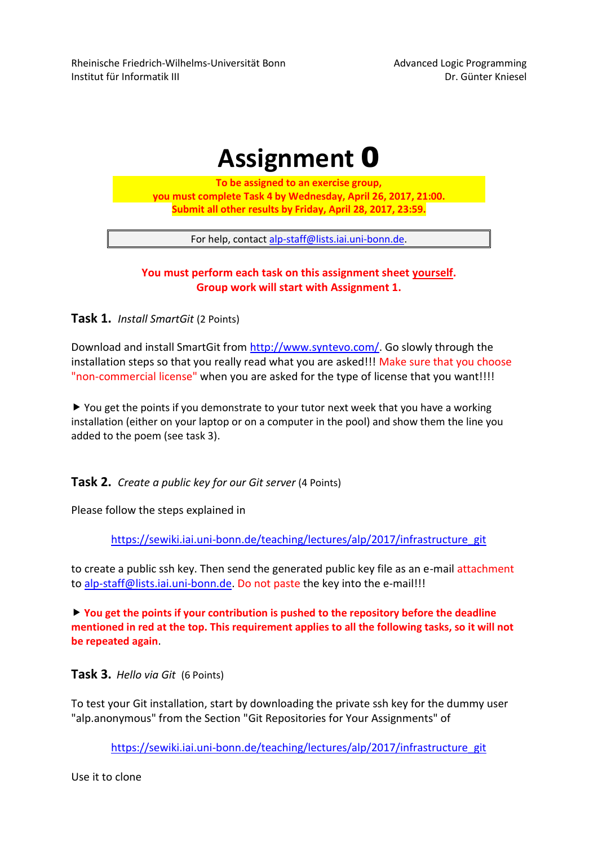Rheinische Friedrich-Wilhelms-Universität Bonn and Advanced Logic Programming Institut für Informatik III Dr. Günter Kniesel

# **Assignment** 0

**To be assigned to an exercise group, you must complete Task 4 by Wednesday, April 26, 2017, 21:00. Submit all other results by Friday, April 28, 2017, 23:59.**

For help, contact [alp-staff@lists.iai.uni-bonn.de.](mailto:alp-staff@lists.iai.uni-bonn.de)

#### **You must perform each task on this assignment sheet yourself. Group work will start with Assignment 1.**

**Task 1.** *Install SmartGit* (2 Points)

Download and install SmartGit from [http://www.syntevo.com/.](http://www.syntevo.com/) Go slowly through the installation steps so that you really read what you are asked!!! Make sure that you choose "non-commercial license" when you are asked for the type of license that you want!!!!

▶ You get the points if you demonstrate to your tutor next week that you have a working installation (either on your laptop or on a computer in the pool) and show them the line you added to the poem (see task 3).

**Task 2.** *Create a public key for our Git server* (4 Points)

Please follow the steps explained in

[https://sewiki.iai.uni-bonn.de/teaching/lectures/alp/2017/infrastructure\\_git](https://sewiki.iai.uni-bonn.de/teaching/lectures/alp/2017/infrastructure_git)

to create a public ssh key. Then send the generated public key file as an e-mail attachment to [alp-staff@lists.iai.uni-bonn.de.](mailto:alp-staff@lists.iai.uni-bonn.de) Do not paste the key into the e-mail!!!

 **You get the points if your contribution is pushed to the repository before the deadline mentioned in red at the top. This requirement applies to all the following tasks, so it will not be repeated again**.

**Task 3.** *Hello via Git* (6 Points)

To test your Git installation, start by downloading the private ssh key for the dummy user "alp.anonymous" from the Section "Git Repositories for Your Assignments" of

[https://sewiki.iai.uni-bonn.de/teaching/lectures/alp/2017/infrastructure\\_git](https://sewiki.iai.uni-bonn.de/teaching/lectures/alp/2017/infrastructure_git)

Use it to clone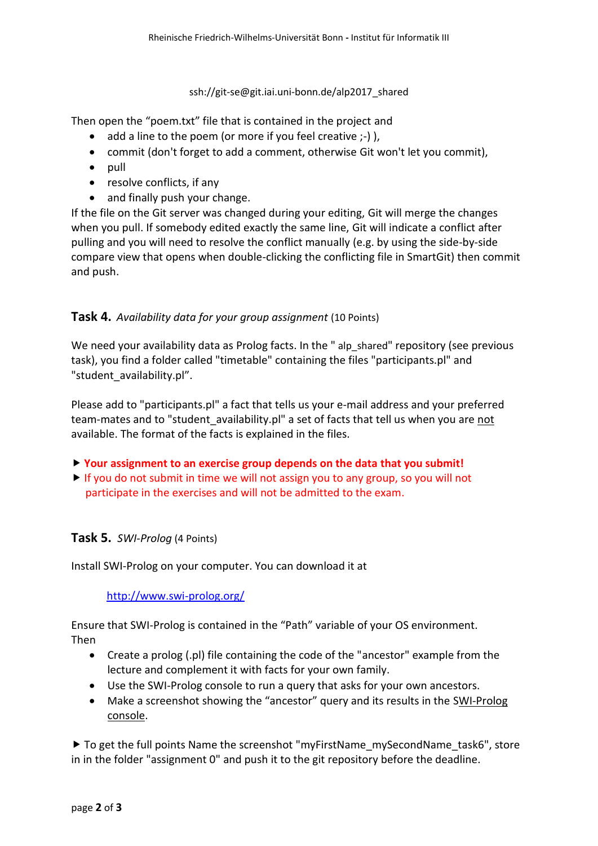ssh://git-se@git.iai.uni-bonn.de/alp2017\_shared

Then open the "poem.txt" file that is contained in the project and

- $\bullet$  add a line to the poem (or more if you feel creative  $;-$ ) ),
- commit (don't forget to add a comment, otherwise Git won't let you commit),
- $\bullet$  pull
- resolve conflicts, if any
- and finally push your change.

If the file on the Git server was changed during your editing, Git will merge the changes when you pull. If somebody edited exactly the same line, Git will indicate a conflict after pulling and you will need to resolve the conflict manually (e.g. by using the side-by-side compare view that opens when double-clicking the conflicting file in SmartGit) then commit and push.

## **Task 4.** *Availability data for your group assignment* (10 Points)

We need your availability data as Prolog facts. In the " alp shared" repository (see previous task), you find a folder called "timetable" containing the files "participants.pl" and "student availability.pl".

Please add to "participants.pl" a fact that tells us your e-mail address and your preferred team-mates and to "student\_availability.pl" a set of facts that tell us when you are not available. The format of the facts is explained in the files.

- **Your assignment to an exercise group depends on the data that you submit!**
- $\triangleright$  If you do not submit in time we will not assign you to any group, so you will not participate in the exercises and will not be admitted to the exam.

## **Task 5.** *SWI-Prolog* (4 Points)

Install SWI-Prolog on your computer. You can download it at

<http://www.swi-prolog.org/>

Ensure that SWI-Prolog is contained in the "Path" variable of your OS environment.

Then

- Create a prolog (.pl) file containing the code of the "ancestor" example from the lecture and complement it with facts for your own family.
- Use the SWI-Prolog console to run a query that asks for your own ancestors.
- Make a screenshot showing the "ancestor" query and its results in the SWI-Prolog console.

▶ To get the full points Name the screenshot "myFirstName\_mySecondName\_task6", store in in the folder "assignment 0" and push it to the git repository before the deadline.